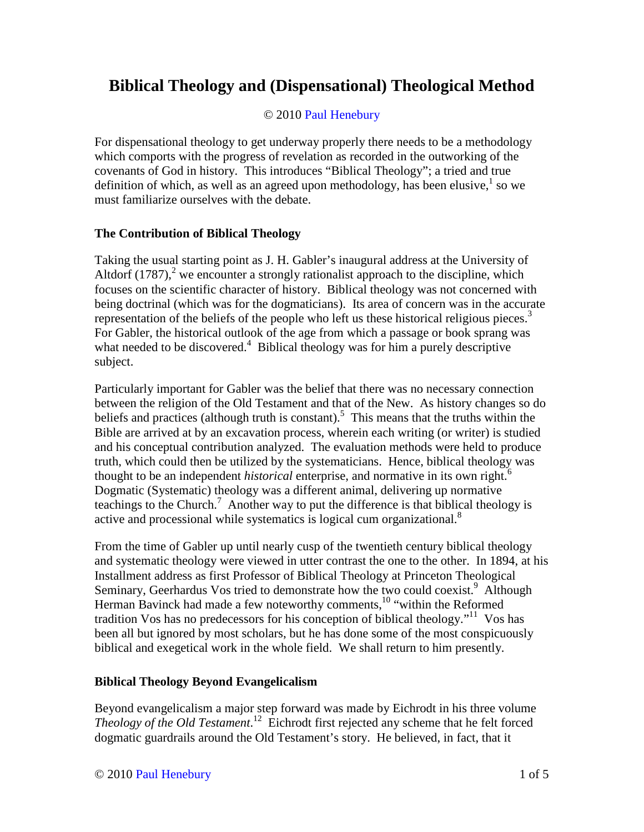## **Biblical Theology and (Dispensational) Theological Method**

## © 2010 Paul Henebury

For dispensational theology to get underway properly there needs to be a methodology which comports with the progress of revelation as recorded in the outworking of the covenants of God in history. This introduces "Biblical Theology"; a tried and true definition of which, as well as an agreed upon methodology, has been elusive, $<sup>1</sup>$  so we</sup> must familiarize ourselves with the debate.

## **The Contribution of Biblical Theology**

Taking the usual starting point as J. H. Gabler's inaugural address at the University of Altdorf  $(1787)$ ,<sup>2</sup> we encounter a strongly rationalist approach to the discipline, which focuses on the scientific character of history. Biblical theology was not concerned with being doctrinal (which was for the dogmaticians). Its area of concern was in the accurate representation of the beliefs of the people who left us these historical religious pieces. $3$ For Gabler, the historical outlook of the age from which a passage or book sprang was what needed to be discovered.<sup>4</sup> Biblical theology was for him a purely descriptive subject.

Particularly important for Gabler was the belief that there was no necessary connection between the religion of the Old Testament and that of the New. As history changes so do beliefs and practices (although truth is constant).<sup>5</sup> This means that the truths within the Bible are arrived at by an excavation process, wherein each writing (or writer) is studied and his conceptual contribution analyzed. The evaluation methods were held to produce truth, which could then be utilized by the systematicians. Hence, biblical theology was thought to be an independent *historical* enterprise, and normative in its own right.<sup>6</sup> Dogmatic (Systematic) theology was a different animal, delivering up normative teachings to the Church.<sup>7</sup> Another way to put the difference is that biblical theology is active and processional while systematics is logical cum organizational.<sup>8</sup>

From the time of Gabler up until nearly cusp of the twentieth century biblical theology and systematic theology were viewed in utter contrast the one to the other. In 1894, at his Installment address as first Professor of Biblical Theology at Princeton Theological Seminary, Geerhardus Vos tried to demonstrate how the two could coexist.<sup>9</sup> Although Herman Bavinck had made a few noteworthy comments,<sup>10</sup> "within the Reformed tradition Vos has no predecessors for his conception of biblical theology."<sup>11</sup> Vos has been all but ignored by most scholars, but he has done some of the most conspicuously biblical and exegetical work in the whole field. We shall return to him presently.

## **Biblical Theology Beyond Evangelicalism**

Beyond evangelicalism a major step forward was made by Eichrodt in his three volume *Theology of the Old Testament*. <sup>12</sup> Eichrodt first rejected any scheme that he felt forced dogmatic guardrails around the Old Testament's story. He believed, in fact, that it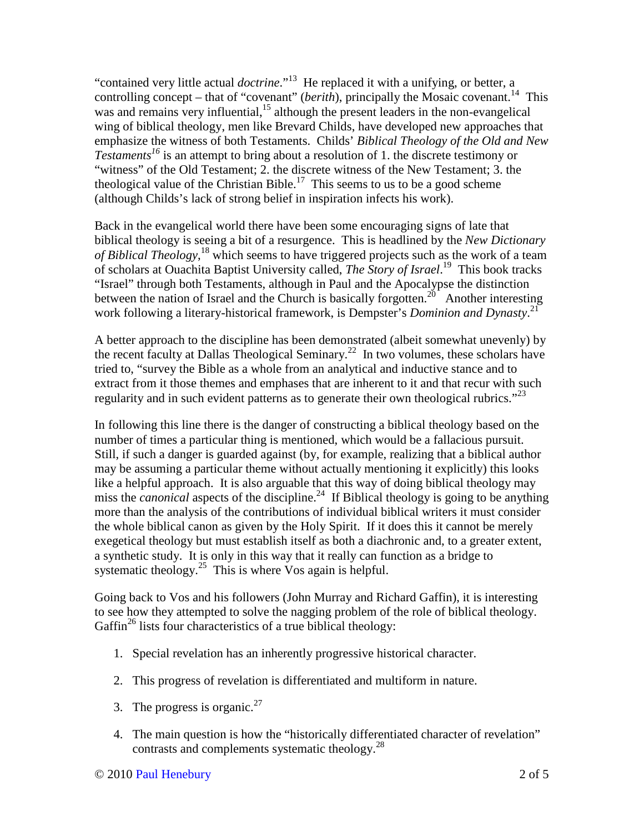"contained very little actual *doctrine*."<sup>13</sup> He replaced it with a unifying, or better, a controlling concept – that of "covenant" (*berith*), principally the Mosaic covenant.<sup>14</sup> This was and remains very influential, $15$  although the present leaders in the non-evangelical wing of biblical theology, men like Brevard Childs, have developed new approaches that emphasize the witness of both Testaments. Childs' *Biblical Theology of the Old and New Testaments<sup>16</sup>* is an attempt to bring about a resolution of 1. the discrete testimony or "witness" of the Old Testament; 2. the discrete witness of the New Testament; 3. the theological value of the Christian Bible.<sup>17</sup> This seems to us to be a good scheme (although Childs's lack of strong belief in inspiration infects his work).

Back in the evangelical world there have been some encouraging signs of late that biblical theology is seeing a bit of a resurgence. This is headlined by the *New Dictionary of Biblical Theology*, <sup>18</sup> which seems to have triggered projects such as the work of a team of scholars at Ouachita Baptist University called, *The Story of Israel*. <sup>19</sup> This book tracks "Israel" through both Testaments, although in Paul and the Apocalypse the distinction between the nation of Israel and the Church is basically forgotten.<sup>20</sup> Another interesting work following a literary-historical framework, is Dempster's *Dominion and Dynasty*. 21

A better approach to the discipline has been demonstrated (albeit somewhat unevenly) by the recent faculty at Dallas Theological Seminary.<sup>22</sup> In two volumes, these scholars have tried to, "survey the Bible as a whole from an analytical and inductive stance and to extract from it those themes and emphases that are inherent to it and that recur with such regularity and in such evident patterns as to generate their own theological rubrics." $^{23}$ 

In following this line there is the danger of constructing a biblical theology based on the number of times a particular thing is mentioned, which would be a fallacious pursuit. Still, if such a danger is guarded against (by, for example, realizing that a biblical author may be assuming a particular theme without actually mentioning it explicitly) this looks like a helpful approach. It is also arguable that this way of doing biblical theology may miss the *canonical* aspects of the discipline.<sup>24</sup> If Biblical theology is going to be anything more than the analysis of the contributions of individual biblical writers it must consider the whole biblical canon as given by the Holy Spirit. If it does this it cannot be merely exegetical theology but must establish itself as both a diachronic and, to a greater extent, a synthetic study. It is only in this way that it really can function as a bridge to systematic theology.<sup>25</sup> This is where Vos again is helpful.

Going back to Vos and his followers (John Murray and Richard Gaffin), it is interesting to see how they attempted to solve the nagging problem of the role of biblical theology. Gaffin<sup>26</sup> lists four characteristics of a true biblical theology:

- 1. Special revelation has an inherently progressive historical character.
- 2. This progress of revelation is differentiated and multiform in nature.
- 3. The progress is organic.<sup>27</sup>
- 4. The main question is how the "historically differentiated character of revelation" contrasts and complements systematic theology.<sup>28</sup>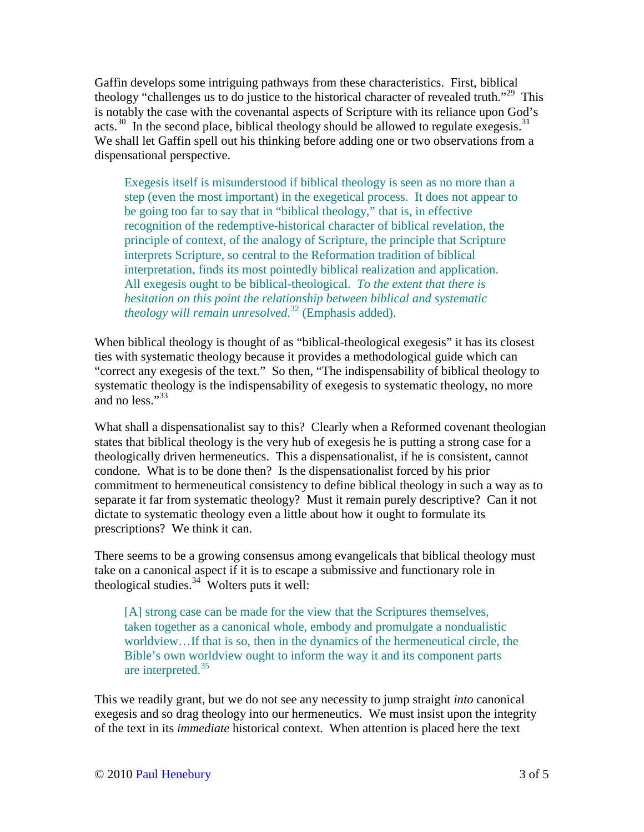Gaffin develops some intriguing pathways from these characteristics. First, biblical theology "challenges us to do justice to the historical character of revealed truth."<sup>29</sup> This is notably the case with the covenantal aspects of Scripture with its reliance upon God's acts.<sup>30</sup> In the second place, biblical theology should be allowed to regulate exegesis.<sup>31</sup> We shall let Gaffin spell out his thinking before adding one or two observations from a dispensational perspective.

Exegesis itself is misunderstood if biblical theology is seen as no more than a step (even the most important) in the exegetical process. It does not appear to be going too far to say that in "biblical theology," that is, in effective recognition of the redemptive-historical character of biblical revelation, the principle of context, of the analogy of Scripture, the principle that Scripture interprets Scripture, so central to the Reformation tradition of biblical interpretation, finds its most pointedly biblical realization and application. All exegesis ought to be biblical-theological. *To the extent that there is hesitation on this point the relationship between biblical and systematic theology will remain unresolved*. <sup>32</sup> (Emphasis added).

When biblical theology is thought of as "biblical-theological exegesis" it has its closest ties with systematic theology because it provides a methodological guide which can "correct any exegesis of the text." So then, "The indispensability of biblical theology to systematic theology is the indispensability of exegesis to systematic theology, no more and no less." $33$ 

What shall a dispensationalist say to this? Clearly when a Reformed covenant theologian states that biblical theology is the very hub of exegesis he is putting a strong case for a theologically driven hermeneutics. This a dispensationalist, if he is consistent, cannot condone. What is to be done then? Is the dispensationalist forced by his prior commitment to hermeneutical consistency to define biblical theology in such a way as to separate it far from systematic theology? Must it remain purely descriptive? Can it not dictate to systematic theology even a little about how it ought to formulate its prescriptions? We think it can.

There seems to be a growing consensus among evangelicals that biblical theology must take on a canonical aspect if it is to escape a submissive and functionary role in theological studies. $34 \text{ Volters}$  puts it well:

[A] strong case can be made for the view that the Scriptures themselves, taken together as a canonical whole, embody and promulgate a nondualistic worldview…If that is so, then in the dynamics of the hermeneutical circle, the Bible's own worldview ought to inform the way it and its component parts are interpreted.<sup>35</sup>

This we readily grant, but we do not see any necessity to jump straight *into* canonical exegesis and so drag theology into our hermeneutics. We must insist upon the integrity of the text in its *immediate* historical context. When attention is placed here the text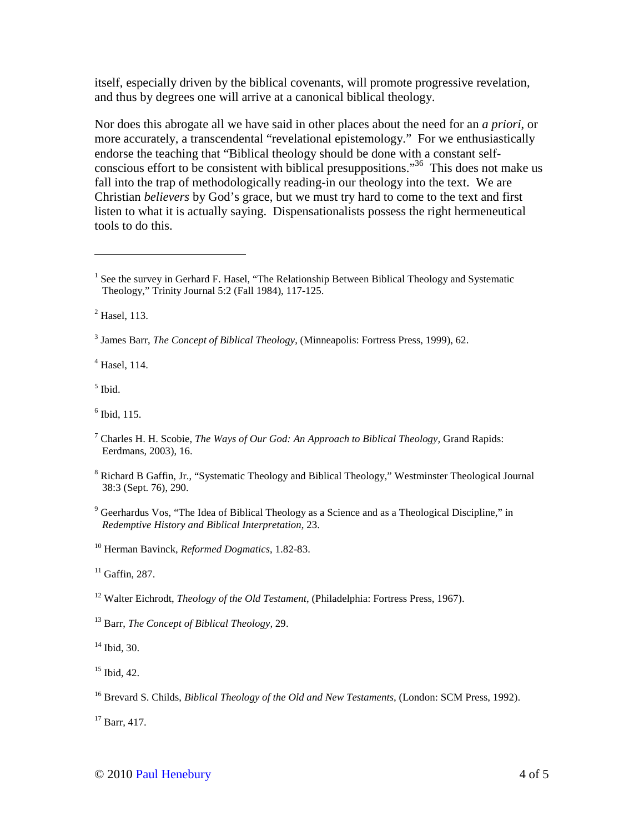itself, especially driven by the biblical covenants, will promote progressive revelation, and thus by degrees one will arrive at a canonical biblical theology.

Nor does this abrogate all we have said in other places about the need for an *a priori*, or more accurately, a transcendental "revelational epistemology." For we enthusiastically endorse the teaching that "Biblical theology should be done with a constant selfconscious effort to be consistent with biblical presuppositions."<sup>36</sup> This does not make us fall into the trap of methodologically reading-in our theology into the text. We are Christian *believers* by God's grace, but we must try hard to come to the text and first listen to what it is actually saying. Dispensationalists possess the right hermeneutical tools to do this.

2 Hasel, 113.

 $\overline{a}$ 

4 Hasel, 114.

5 Ibid.

 $<sup>6</sup>$  Ibid, 115.</sup>

- <sup>8</sup> Richard B Gaffin, Jr., "Systematic Theology and Biblical Theology," Westminster Theological Journal 38:3 (Sept. 76), 290.
- <sup>9</sup> Geerhardus Vos, "The Idea of Biblical Theology as a Science and as a Theological Discipline," in *Redemptive History and Biblical Interpretation*, 23.

<sup>10</sup> Herman Bavinck, *Reformed Dogmatics*, 1.82-83.

 $11$  Gaffin, 287.

<sup>12</sup> Walter Eichrodt, *Theology of the Old Testament*, (Philadelphia: Fortress Press, 1967).

<sup>13</sup> Barr, *The Concept of Biblical Theology,* 29.

<sup>14</sup> Ibid, 30.

 $15$  Ibid, 42.

<sup>16</sup> Brevard S. Childs, *Biblical Theology of the Old and New Testaments*, (London: SCM Press, 1992).

 $17$  Barr, 417.

<sup>&</sup>lt;sup>1</sup> See the survey in Gerhard F. Hasel, "The Relationship Between Biblical Theology and Systematic Theology," Trinity Journal 5:2 (Fall 1984), 117-125.

<sup>3</sup> James Barr, *The Concept of Biblical Theology*, (Minneapolis: Fortress Press, 1999), 62.

<sup>7</sup> Charles H. H. Scobie, *The Ways of Our God: An Approach to Biblical Theology,* Grand Rapids: Eerdmans, 2003), 16.